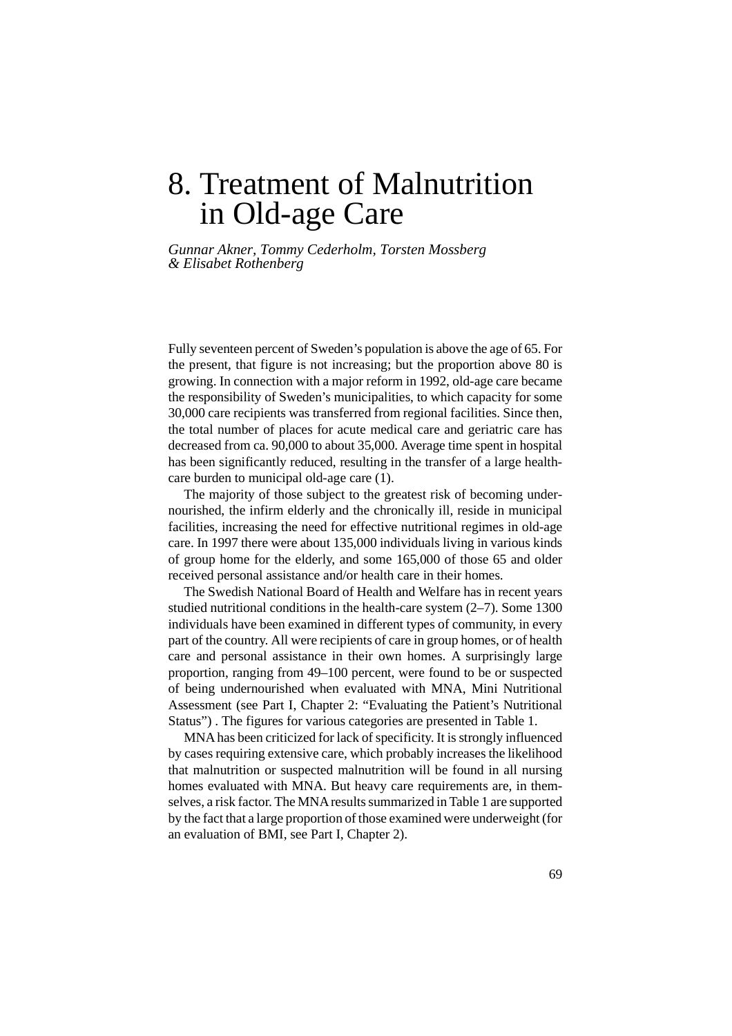# 8. Treatment of Malnutrition in Old-age Care

*Gunnar Akner, Tommy Cederholm, Torsten Mossberg & Elisabet Rothenberg*

Fully seventeen percent of Sweden's population is above the age of 65. For the present, that figure is not increasing; but the proportion above 80 is growing. In connection with a major reform in 1992, old-age care became the responsibility of Sweden's municipalities, to which capacity for some 30,000 care recipients was transferred from regional facilities. Since then, the total number of places for acute medical care and geriatric care has decreased from ca. 90,000 to about 35,000. Average time spent in hospital has been significantly reduced, resulting in the transfer of a large healthcare burden to municipal old-age care (1).

The majority of those subject to the greatest risk of becoming undernourished, the infirm elderly and the chronically ill, reside in municipal facilities, increasing the need for effective nutritional regimes in old-age care. In 1997 there were about 135,000 individuals living in various kinds of group home for the elderly, and some 165,000 of those 65 and older received personal assistance and/or health care in their homes.

The Swedish National Board of Health and Welfare has in recent years studied nutritional conditions in the health-care system (2–7). Some 1300 individuals have been examined in different types of community, in every part of the country. All were recipients of care in group homes, or of health care and personal assistance in their own homes. A surprisingly large proportion, ranging from 49–100 percent, were found to be or suspected of being undernourished when evaluated with MNA, Mini Nutritional Assessment (see Part I, Chapter 2: "Evaluating the Patient's Nutritional Status") . The figures for various categories are presented in Table 1.

MNA has been criticized for lack of specificity. It is strongly influenced by cases requiring extensive care, which probably increases the likelihood that malnutrition or suspected malnutrition will be found in all nursing homes evaluated with MNA. But heavy care requirements are, in themselves, a risk factor. The MNA results summarized in Table 1 are supported by the fact that a large proportion of those examined were underweight (for an evaluation of BMI, see Part I, Chapter 2).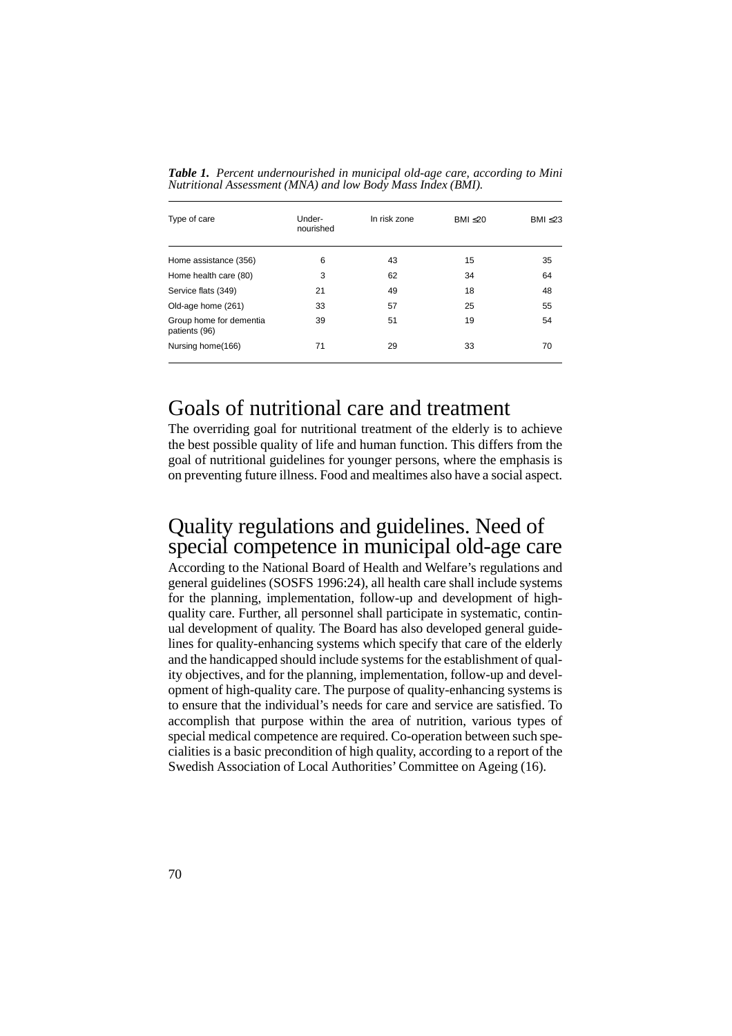| Type of care                             | Under-<br>nourished | In risk zone | BM < 20 | BMI $\leq$ 23 |
|------------------------------------------|---------------------|--------------|---------|---------------|
| Home assistance (356)                    | 6                   | 43           | 15      | 35            |
| Home health care (80)                    | 3                   | 62           | 34      | 64            |
| Service flats (349)                      | 21                  | 49           | 18      | 48            |
| Old-age home (261)                       | 33                  | 57           | 25      | 55            |
| Group home for dementia<br>patients (96) | 39                  | 51           | 19      | 54            |
| Nursing home(166)                        | 71                  | 29           | 33      | 70            |

*Table 1. Percent undernourished in municipal old-age care, according to Mini Nutritional Assessment (MNA) and low Body Mass Index (BMI).*

### Goals of nutritional care and treatment

The overriding goal for nutritional treatment of the elderly is to achieve the best possible quality of life and human function. This differs from the goal of nutritional guidelines for younger persons, where the emphasis is on preventing future illness. Food and mealtimes also have a social aspect.

### Quality regulations and guidelines. Need of special competence in municipal old-age care

According to the National Board of Health and Welfare's regulations and general guidelines (SOSFS 1996:24), all health care shall include systems for the planning, implementation, follow-up and development of highquality care. Further, all personnel shall participate in systematic, continual development of quality. The Board has also developed general guidelines for quality-enhancing systems which specify that care of the elderly and the handicapped should include systems for the establishment of quality objectives, and for the planning, implementation, follow-up and development of high-quality care. The purpose of quality-enhancing systems is to ensure that the individual's needs for care and service are satisfied. To accomplish that purpose within the area of nutrition, various types of special medical competence are required. Co-operation between such specialities is a basic precondition of high quality, according to a report of the Swedish Association of Local Authorities' Committee on Ageing (16).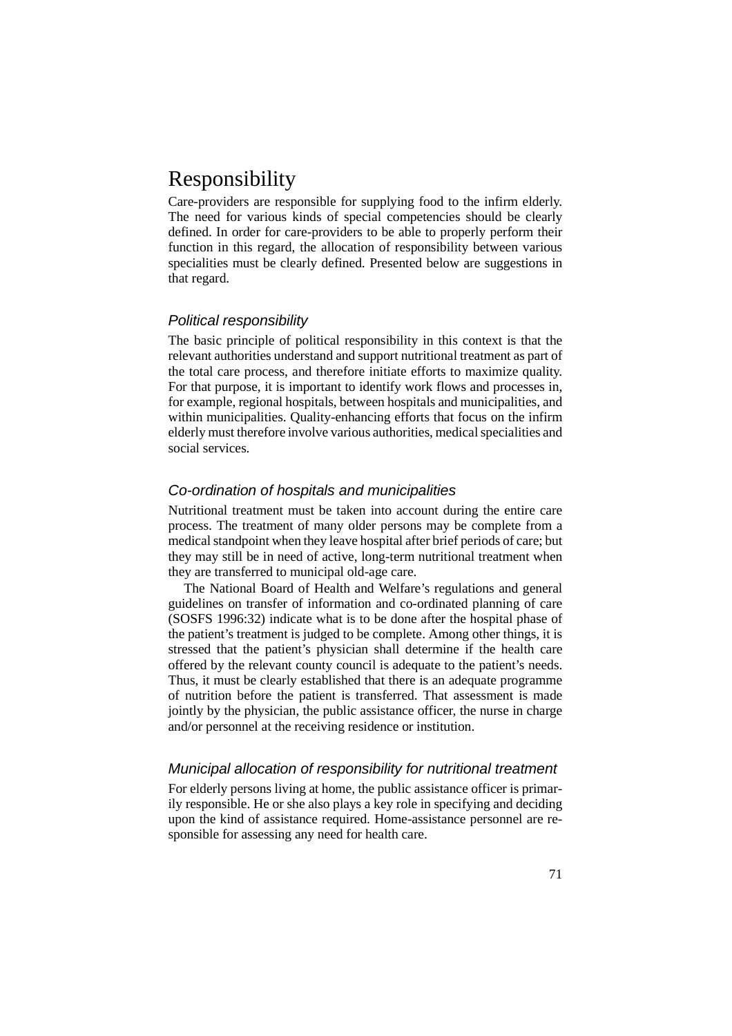# Responsibility

Care-providers are responsible for supplying food to the infirm elderly. The need for various kinds of special competencies should be clearly defined. In order for care-providers to be able to properly perform their function in this regard, the allocation of responsibility between various specialities must be clearly defined. Presented below are suggestions in that regard.

#### Political responsibility

The basic principle of political responsibility in this context is that the relevant authorities understand and support nutritional treatment as part of the total care process, and therefore initiate efforts to maximize quality. For that purpose, it is important to identify work flows and processes in, for example, regional hospitals, between hospitals and municipalities, and within municipalities. Quality-enhancing efforts that focus on the infirm elderly must therefore involve various authorities, medical specialities and social services.

#### Co-ordination of hospitals and municipalities

Nutritional treatment must be taken into account during the entire care process. The treatment of many older persons may be complete from a medical standpoint when they leave hospital after brief periods of care; but they may still be in need of active, long-term nutritional treatment when they are transferred to municipal old-age care.

The National Board of Health and Welfare's regulations and general guidelines on transfer of information and co-ordinated planning of care (SOSFS 1996:32) indicate what is to be done after the hospital phase of the patient's treatment is judged to be complete. Among other things, it is stressed that the patient's physician shall determine if the health care offered by the relevant county council is adequate to the patient's needs. Thus, it must be clearly established that there is an adequate programme of nutrition before the patient is transferred. That assessment is made jointly by the physician, the public assistance officer, the nurse in charge and/or personnel at the receiving residence or institution.

#### Municipal allocation of responsibility for nutritional treatment

For elderly persons living at home, the public assistance officer is primarily responsible. He or she also plays a key role in specifying and deciding upon the kind of assistance required. Home-assistance personnel are responsible for assessing any need for health care.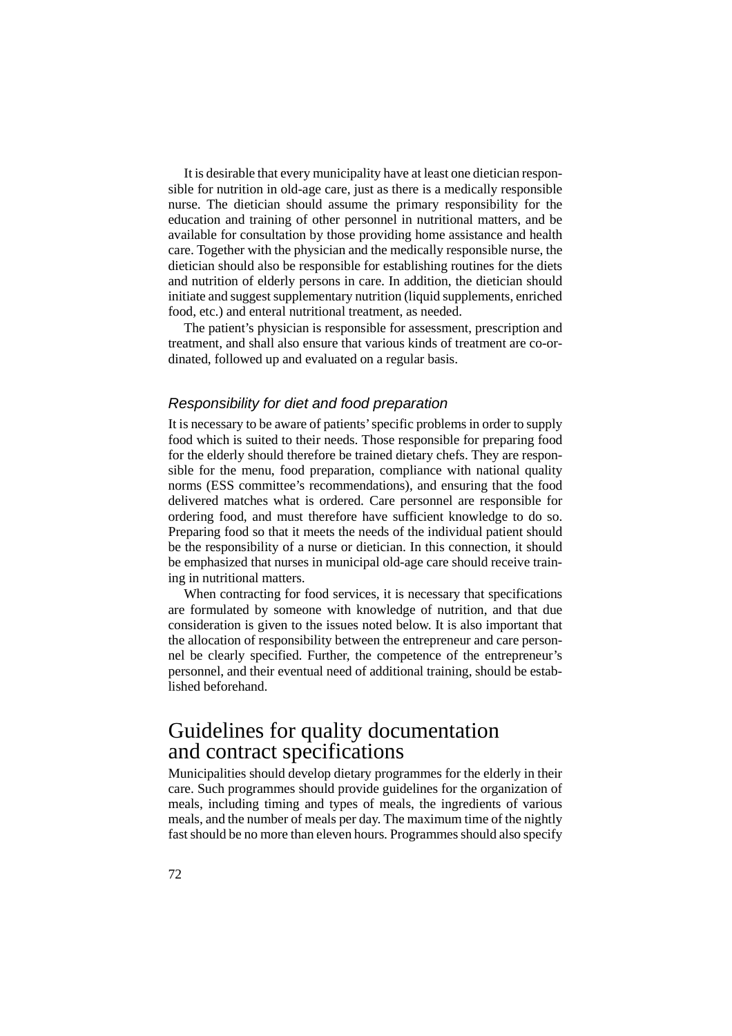It is desirable that every municipality have at least one dietician responsible for nutrition in old-age care, just as there is a medically responsible nurse. The dietician should assume the primary responsibility for the education and training of other personnel in nutritional matters, and be available for consultation by those providing home assistance and health care. Together with the physician and the medically responsible nurse, the dietician should also be responsible for establishing routines for the diets and nutrition of elderly persons in care. In addition, the dietician should initiate and suggest supplementary nutrition (liquid supplements, enriched food, etc.) and enteral nutritional treatment, as needed.

The patient's physician is responsible for assessment, prescription and treatment, and shall also ensure that various kinds of treatment are co-ordinated, followed up and evaluated on a regular basis.

#### Responsibility for diet and food preparation

It is necessary to be aware of patients' specific problems in order to supply food which is suited to their needs. Those responsible for preparing food for the elderly should therefore be trained dietary chefs. They are responsible for the menu, food preparation, compliance with national quality norms (ESS committee's recommendations), and ensuring that the food delivered matches what is ordered. Care personnel are responsible for ordering food, and must therefore have sufficient knowledge to do so. Preparing food so that it meets the needs of the individual patient should be the responsibility of a nurse or dietician. In this connection, it should be emphasized that nurses in municipal old-age care should receive training in nutritional matters.

When contracting for food services, it is necessary that specifications are formulated by someone with knowledge of nutrition, and that due consideration is given to the issues noted below. It is also important that the allocation of responsibility between the entrepreneur and care personnel be clearly specified. Further, the competence of the entrepreneur's personnel, and their eventual need of additional training, should be established beforehand.

### Guidelines for quality documentation and contract specifications

Municipalities should develop dietary programmes for the elderly in their care. Such programmes should provide guidelines for the organization of meals, including timing and types of meals, the ingredients of various meals, and the number of meals per day. The maximum time of the nightly fast should be no more than eleven hours. Programmes should also specify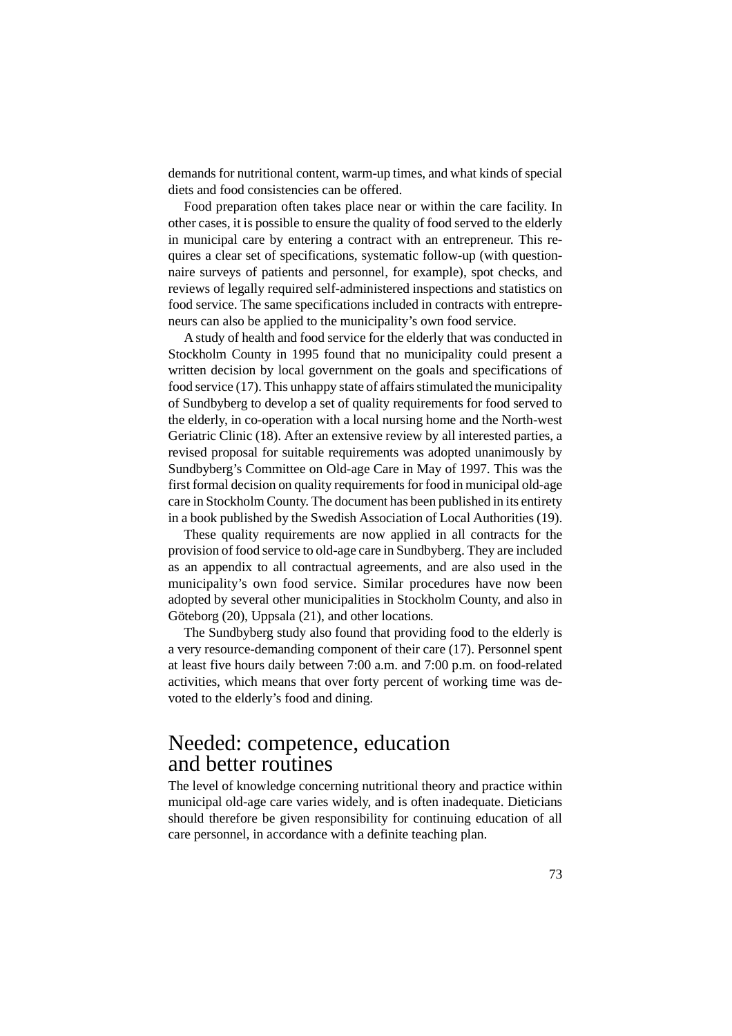demands for nutritional content, warm-up times, and what kinds of special diets and food consistencies can be offered.

Food preparation often takes place near or within the care facility. In other cases, it is possible to ensure the quality of food served to the elderly in municipal care by entering a contract with an entrepreneur. This requires a clear set of specifications, systematic follow-up (with questionnaire surveys of patients and personnel, for example), spot checks, and reviews of legally required self-administered inspections and statistics on food service. The same specifications included in contracts with entrepreneurs can also be applied to the municipality's own food service.

A study of health and food service for the elderly that was conducted in Stockholm County in 1995 found that no municipality could present a written decision by local government on the goals and specifications of food service (17). This unhappy state of affairs stimulated the municipality of Sundbyberg to develop a set of quality requirements for food served to the elderly, in co-operation with a local nursing home and the North-west Geriatric Clinic (18). After an extensive review by all interested parties, a revised proposal for suitable requirements was adopted unanimously by Sundbyberg's Committee on Old-age Care in May of 1997. This was the first formal decision on quality requirements for food in municipal old-age care in Stockholm County. The document has been published in its entirety in a book published by the Swedish Association of Local Authorities (19).

These quality requirements are now applied in all contracts for the provision of food service to old-age care in Sundbyberg. They are included as an appendix to all contractual agreements, and are also used in the municipality's own food service. Similar procedures have now been adopted by several other municipalities in Stockholm County, and also in Göteborg (20), Uppsala (21), and other locations.

The Sundbyberg study also found that providing food to the elderly is a very resource-demanding component of their care (17). Personnel spent at least five hours daily between 7:00 a.m. and 7:00 p.m. on food-related activities, which means that over forty percent of working time was devoted to the elderly's food and dining.

### Needed: competence, education and better routines

The level of knowledge concerning nutritional theory and practice within municipal old-age care varies widely, and is often inadequate. Dieticians should therefore be given responsibility for continuing education of all care personnel, in accordance with a definite teaching plan.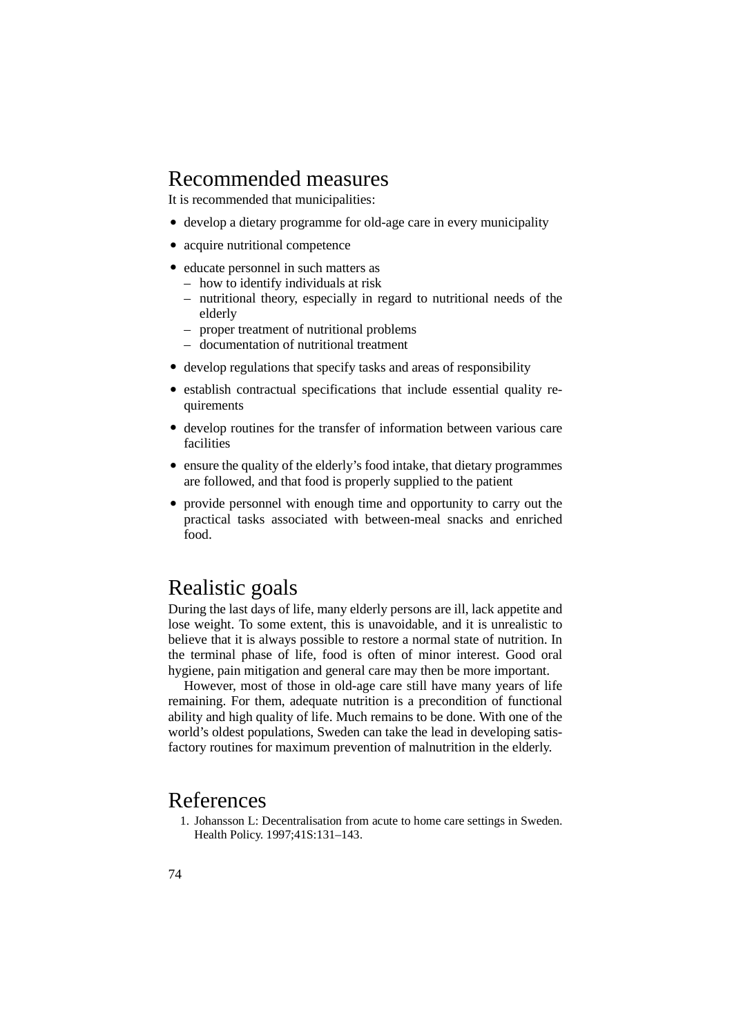### Recommended measures

It is recommended that municipalities:

- develop a dietary programme for old-age care in every municipality
- acquire nutritional competence
- educate personnel in such matters as
	- how to identify individuals at risk
	- nutritional theory, especially in regard to nutritional needs of the elderly
	- proper treatment of nutritional problems
	- documentation of nutritional treatment
- develop regulations that specify tasks and areas of responsibility
- establish contractual specifications that include essential quality requirements
- develop routines for the transfer of information between various care facilities
- ensure the quality of the elderly's food intake, that dietary programmes are followed, and that food is properly supplied to the patient
- provide personnel with enough time and opportunity to carry out the practical tasks associated with between-meal snacks and enriched food.

### Realistic goals

During the last days of life, many elderly persons are ill, lack appetite and lose weight. To some extent, this is unavoidable, and it is unrealistic to believe that it is always possible to restore a normal state of nutrition. In the terminal phase of life, food is often of minor interest. Good oral hygiene, pain mitigation and general care may then be more important.

However, most of those in old-age care still have many years of life remaining. For them, adequate nutrition is a precondition of functional ability and high quality of life. Much remains to be done. With one of the world's oldest populations, Sweden can take the lead in developing satisfactory routines for maximum prevention of malnutrition in the elderly.

### References

1. Johansson L: Decentralisation from acute to home care settings in Sweden. Health Policy. 1997;41S:131–143.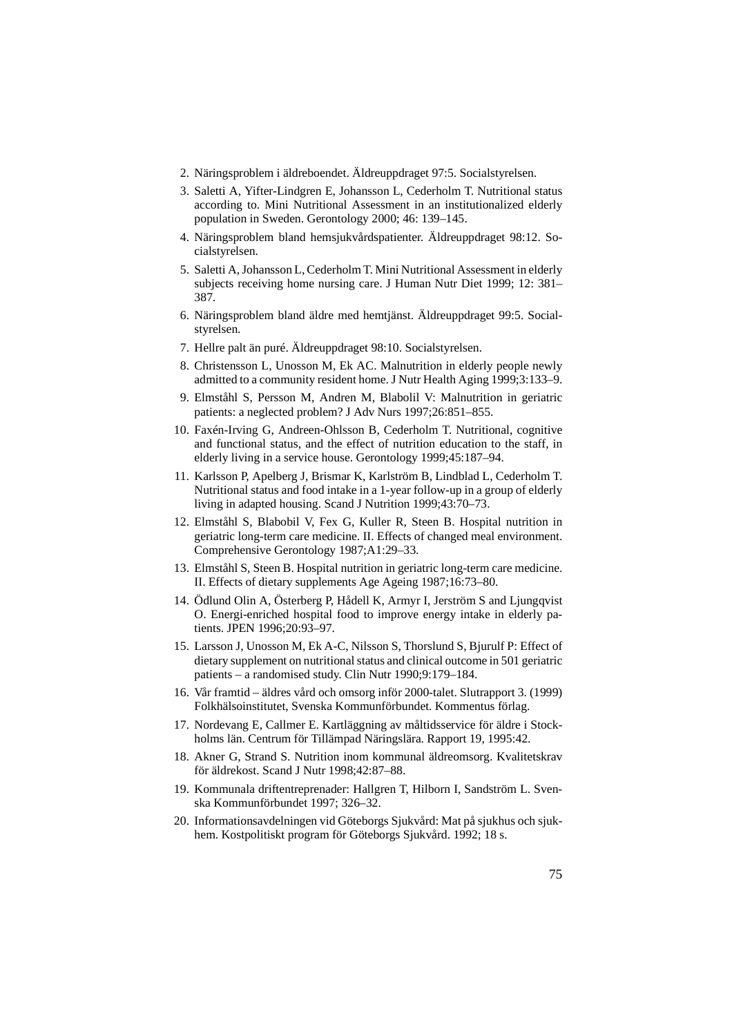- 2. Näringsproblem i äldreboendet. Äldreuppdraget 97:5. Socialstyrelsen.
- 3. Saletti A, Yifter-Lindgren E, Johansson L, Cederholm T. Nutritional status according to. Mini Nutritional Assessment in an institutionalized elderly population in Sweden. Gerontology 2000; 46: 139–145.
- 4. Näringsproblem bland hemsjukvårdspatienter. Äldreuppdraget 98:12. Socialstyrelsen.
- 5. Saletti A, Johansson L, Cederholm T. Mini Nutritional Assessment in elderly subjects receiving home nursing care. J Human Nutr Diet 1999; 12: 381– 387.
- 6. Näringsproblem bland äldre med hemtjänst. Äldreuppdraget 99:5. Socialstyrelsen.
- 7. Hellre palt än puré. Äldreuppdraget 98:10. Socialstyrelsen.
- 8. Christensson L, Unosson M, Ek AC. Malnutrition in elderly people newly admitted to a community resident home. J Nutr Health Aging 1999;3:133–9.
- 9. Elmståhl S, Persson M, Andren M, Blabolil V: Malnutrition in geriatric patients: a neglected problem? J Adv Nurs 1997;26:851–855.
- 10. Faxén-Irving G, Andreen-Ohlsson B, Cederholm T. Nutritional, cognitive and functional status, and the effect of nutrition education to the staff, in elderly living in a service house. Gerontology 1999;45:187–94.
- 11. Karlsson P, Apelberg J, Brismar K, Karlström B, Lindblad L, Cederholm T. Nutritional status and food intake in a 1-year follow-up in a group of elderly living in adapted housing. Scand J Nutrition 1999;43:70–73.
- 12. Elmståhl S, Blabobil V, Fex G, Kuller R, Steen B. Hospital nutrition in geriatric long-term care medicine. II. Effects of changed meal environment. Comprehensive Gerontology 1987;A1:29–33.
- 13. Elmståhl S, Steen B. Hospital nutrition in geriatric long-term care medicine. II. Effects of dietary supplements Age Ageing 1987;16:73–80.
- 14. Ödlund Olin A, Österberg P, Hådell K, Armyr I, Jerström S and Ljungqvist O. Energi-enriched hospital food to improve energy intake in elderly patients. JPEN 1996;20:93–97.
- 15. Larsson J, Unosson M, Ek A-C, Nilsson S, Thorslund S, Bjurulf P: Effect of dietary supplement on nutritional status and clinical outcome in 501 geriatric patients – a randomised study. Clin Nutr 1990;9:179–184.
- 16. Vår framtid äldres vård och omsorg inför 2000-talet. Slutrapport 3. (1999) Folkhälsoinstitutet, Svenska Kommunförbundet. Kommentus förlag.
- 17. Nordevang E, Callmer E. Kartläggning av måltidsservice för äldre i Stockholms län. Centrum för Tillämpad Näringslära. Rapport 19, 1995:42.
- 18. Akner G, Strand S. Nutrition inom kommunal äldreomsorg. Kvalitetskrav för äldrekost. Scand J Nutr 1998;42:87–88.
- 19. Kommunala driftentreprenader: Hallgren T, Hilborn I, Sandström L. Svenska Kommunförbundet 1997; 326–32.
- 20. Informationsavdelningen vid Göteborgs Sjukvård: Mat på sjukhus och sjukhem. Kostpolitiskt program för Göteborgs Sjukvård. 1992; 18 s.